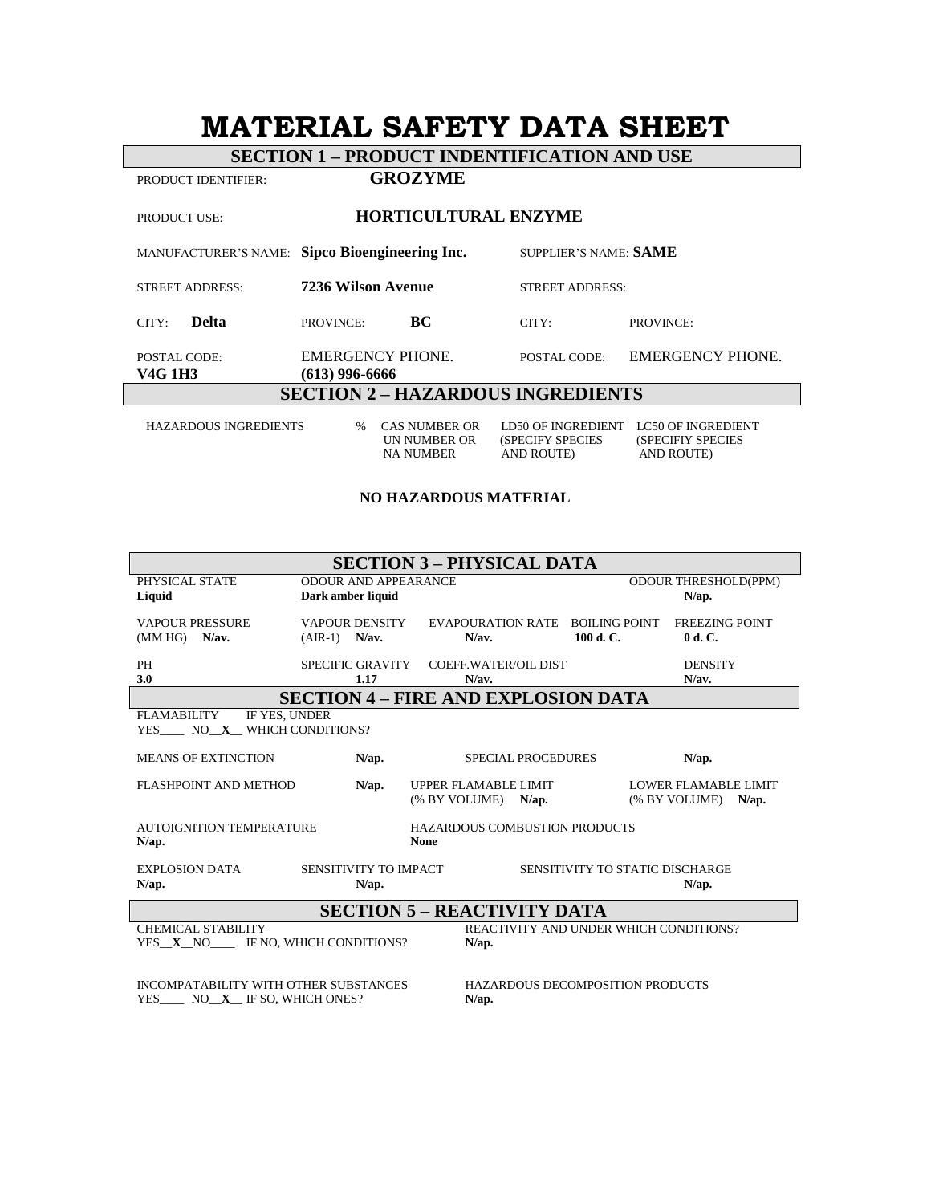# **MATERIAL SAFETY DATA SHEET**

**SECTION 1 – PRODUCT INDENTIFICATION AND USE**

PRODUCT IDENTIFIER: **GROZYME** 

| <b>HORTICULTURAL ENZYME</b><br><b>PRODUCT USE:</b> |                                                                  |                                                             |                                                                     |  |  |
|----------------------------------------------------|------------------------------------------------------------------|-------------------------------------------------------------|---------------------------------------------------------------------|--|--|
|                                                    | MANUFACTURER'S NAME: Sipco Bioengineering Inc.                   | SUPPLIER'S NAME: SAME                                       |                                                                     |  |  |
| <b>STREET ADDRESS:</b>                             | 7236 Wilson Avenue                                               | <b>STREET ADDRESS:</b>                                      |                                                                     |  |  |
| <b>Delta</b><br>CITY:                              | BC<br>PROVINCE:                                                  | CITY:                                                       | <b>PROVINCE:</b>                                                    |  |  |
| POSTAL CODE:<br>V4G 1H3                            | EMERGENCY PHONE.<br>$(613)$ 996-6666                             | POSTAL CODE:                                                | <b>EMERGENCY PHONE.</b>                                             |  |  |
| <b>SECTION 2 - HAZARDOUS INGREDIENTS</b>           |                                                                  |                                                             |                                                                     |  |  |
| <b>HAZARDOUS INGREDIENTS</b>                       | <b>CAS NUMBER OR</b><br>$\%$<br>UN NUMBER OR<br><b>NA NUMBER</b> | LD50 OF INGREDIENT<br>(SPECIFY SPECIES<br><b>AND ROUTE)</b> | <b>LC50 OF INGREDIENT</b><br>(SPECIFIY SPECIES<br><b>AND ROUTE)</b> |  |  |

#### **NO HAZARDOUS MATERIAL**

| <b>SECTION 3 – PHYSICAL DATA</b>                                                                                     |                                                  |                                       |                                           |                                                          |          |
|----------------------------------------------------------------------------------------------------------------------|--------------------------------------------------|---------------------------------------|-------------------------------------------|----------------------------------------------------------|----------|
| PHYSICAL STATE<br>Liquid                                                                                             | <b>ODOUR AND APPEARANCE</b><br>Dark amber liquid |                                       |                                           | <b>ODOUR THRESHOLD(PPM)</b><br>$N$ /ap.                  |          |
| <b>VAPOUR PRESSURE</b><br>$(MM HG)$ N/av.                                                                            | <b>VAPOUR DENSITY</b><br>$(AIR-1)$ N/av.         | <b>EVAPOURATION RATE</b><br>N/av.     | 100 d. C.                                 | <b>BOILING POINT</b><br><b>FREEZING POINT</b><br>0 d. C. |          |
| PH<br>3.0                                                                                                            | SPECIFIC GRAVITY<br>1.17                         | <b>COEFF.WATER/OIL DIST</b><br>N/av.  |                                           | <b>DENSITY</b><br>N/av.                                  |          |
| <b>SECTION 4 – FIRE AND EXPLOSION DATA</b>                                                                           |                                                  |                                       |                                           |                                                          |          |
| IF YES. UNDER<br>FLAMABILITY<br>YES NO X WHICH CONDITIONS?                                                           |                                                  |                                       |                                           |                                                          |          |
| <b>MEANS OF EXTINCTION</b>                                                                                           | N/ap.                                            |                                       | <b>SPECIAL PROCEDURES</b>                 | $N$ /ap.                                                 |          |
| FLASHPOINT AND METHOD                                                                                                | $N$ /ap.                                         | UPPER FLAMABLE LIMIT<br>(% BY VOLUME) | $N$ /ap.                                  | LOWER FLAMABLE LIMIT<br>(% BY VOLUME)                    | $N$ /ap. |
| <b>AUTOIGNITION TEMPERATURE</b><br><b>HAZARDOUS COMBUSTION PRODUCTS</b><br><b>None</b><br>$N$ /ap.                   |                                                  |                                       |                                           |                                                          |          |
| <b>EXPLOSION DATA</b><br>$N$ /ap.                                                                                    | SENSITIVITY TO IMPACT<br>N/ap.                   |                                       |                                           | SENSITIVITY TO STATIC DISCHARGE<br>$N$ /ap.              |          |
| <b>SECTION 5 – REACTIVITY DATA</b>                                                                                   |                                                  |                                       |                                           |                                                          |          |
| CHEMICAL STABILITY<br><b>REACTIVITY AND UNDER WHICH CONDITIONS?</b><br>YES X NO IF NO, WHICH CONDITIONS?<br>$N$ /ap. |                                                  |                                       |                                           |                                                          |          |
| INCOMPATABILITY WITH OTHER SUBSTANCES<br>YES NO X IF SO, WHICH ONES?                                                 |                                                  |                                       | HAZARDOUS DECOMPOSITION PRODUCTS<br>N/ap. |                                                          |          |